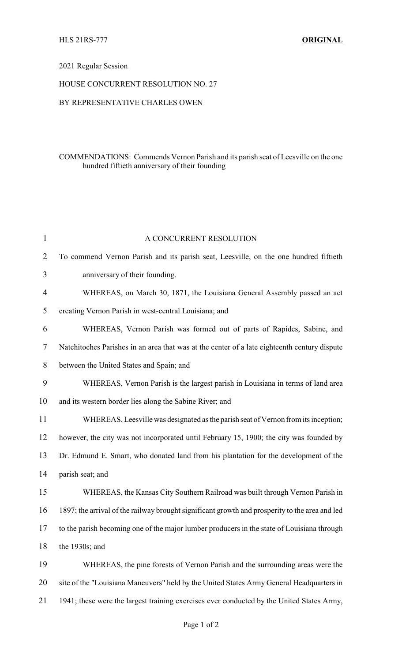## 2021 Regular Session

#### HOUSE CONCURRENT RESOLUTION NO. 27

### BY REPRESENTATIVE CHARLES OWEN

## COMMENDATIONS: Commends Vernon Parish and its parish seat of Leesville on the one hundred fiftieth anniversary of their founding

| $\mathbf{1}$   | A CONCURRENT RESOLUTION                                                                        |
|----------------|------------------------------------------------------------------------------------------------|
| $\overline{2}$ | To commend Vernon Parish and its parish seat, Leesville, on the one hundred fiftieth           |
| 3              | anniversary of their founding.                                                                 |
| 4              | WHEREAS, on March 30, 1871, the Louisiana General Assembly passed an act                       |
| 5              | creating Vernon Parish in west-central Louisiana; and                                          |
| 6              | WHEREAS, Vernon Parish was formed out of parts of Rapides, Sabine, and                         |
| 7              | Natchitoches Parishes in an area that was at the center of a late eighteenth century dispute   |
| $8\,$          | between the United States and Spain; and                                                       |
| 9              | WHEREAS, Vernon Parish is the largest parish in Louisiana in terms of land area                |
| 10             | and its western border lies along the Sabine River; and                                        |
| 11             | WHEREAS, Leesville was designated as the parish seat of Vernon from its inception;             |
| 12             | however, the city was not incorporated until February 15, 1900; the city was founded by        |
| 13             | Dr. Edmund E. Smart, who donated land from his plantation for the development of the           |
| 14             | parish seat; and                                                                               |
| 15             | WHEREAS, the Kansas City Southern Railroad was built through Vernon Parish in                  |
| 16             | 1897; the arrival of the railway brought significant growth and prosperity to the area and led |
| 17             | to the parish becoming one of the major lumber producers in the state of Louisiana through     |
| 18             | the 1930s; and                                                                                 |
| 19             | WHEREAS, the pine forests of Vernon Parish and the surrounding areas were the                  |
| 20             | site of the "Louisiana Maneuvers" held by the United States Army General Headquarters in       |
| 21             | 1941; these were the largest training exercises ever conducted by the United States Army,      |